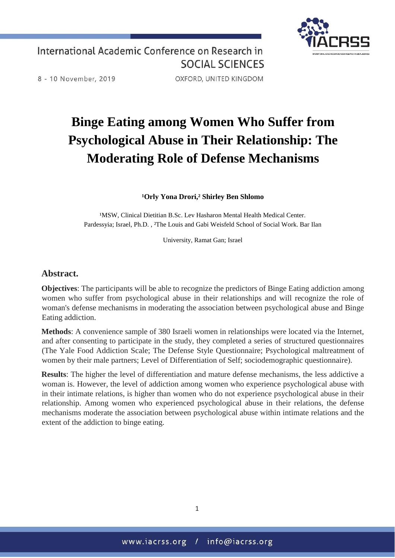

International Academic Conference on Research in **SOCIAL SCIENCES** 

8 - 10 November, 2019

OXFORD, UNITED KINGDOM

# **Binge Eating among Women Who Suffer from Psychological Abuse in Their Relationship: The Moderating Role of Defense Mechanisms**

#### **¹Orly Yona Drori,² Shirley Ben Shlomo**

<sup>1</sup>MSW, Clinical Dietitian B.Sc. Lev Hasharon Mental Health Medical Center. Pardessyia; Israel, Ph.D., <sup>2</sup>The Louis and Gabi Weisfeld School of Social Work. Bar Ilan

University, Ramat Gan; Israel

### **Abstract.**

**Objectives**: The participants will be able to recognize the predictors of Binge Eating addiction among women who suffer from psychological abuse in their relationships and will recognize the role of woman's defense mechanisms in moderating the association between psychological abuse and Binge Eating addiction.

**Methods**: A convenience sample of 380 Israeli women in relationships were located via the Internet, and after consenting to participate in the study, they completed a series of structured questionnaires (The Yale Food Addiction Scale; The Defense Style Questionnaire; Psychological maltreatment of women by their male partners; Level of Differentiation of Self; sociodemographic questionnaire).

**Results**: The higher the level of differentiation and mature defense mechanisms, the less addictive a woman is. However, the level of addiction among women who experience psychological abuse with in their intimate relations, is higher than women who do not experience psychological abuse in their relationship. Among women who experienced psychological abuse in their relations, the defense mechanisms moderate the association between psychological abuse within intimate relations and the extent of the addiction to binge eating.